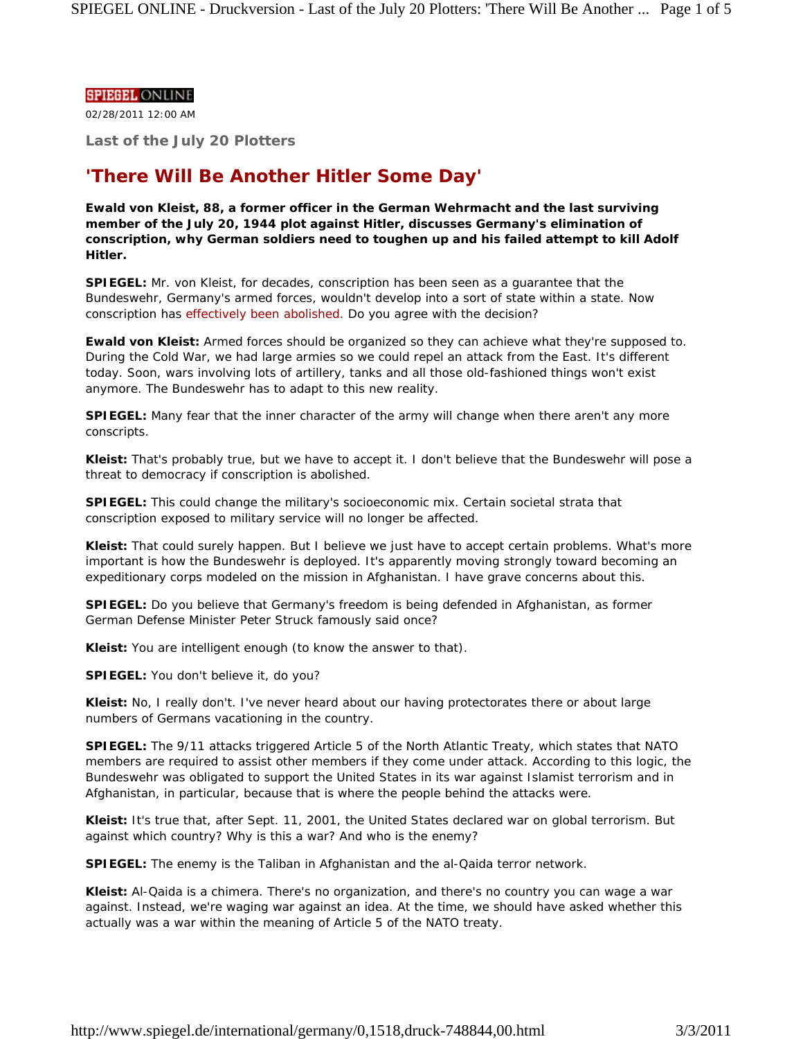## **SPIEGEL ONLINE**

02/28/2011 12:00 AM

**Last of the July 20 Plotters**

# **'There Will Be Another Hitler Some Day'**

**Ewald von Kleist, 88, a former officer in the German Wehrmacht and the last surviving member of the July 20, 1944 plot against Hitler, discusses Germany's elimination of conscription, why German soldiers need to toughen up and his failed attempt to kill Adolf Hitler.**

**SPIEGEL:** Mr. von Kleist, for decades, conscription has been seen as a guarantee that the Bundeswehr, Germany's armed forces, wouldn't develop into a sort of state within a state. Now conscription has effectively been abolished. Do you agree with the decision?

**Ewald von Kleist:** Armed forces should be organized so they can achieve what they're supposed to. During the Cold War, we had large armies so we could repel an attack from the East. It's different today. Soon, wars involving lots of artillery, tanks and all those old-fashioned things won't exist anymore. The Bundeswehr has to adapt to this new reality.

**SPIEGEL:** Many fear that the inner character of the army will change when there aren't any more conscripts.

**Kleist:** That's probably true, but we have to accept it. I don't believe that the Bundeswehr will pose a threat to democracy if conscription is abolished.

**SPIEGEL:** This could change the military's socioeconomic mix. Certain societal strata that conscription exposed to military service will no longer be affected.

**Kleist:** That could surely happen. But I believe we just have to accept certain problems. What's more important is how the Bundeswehr is deployed. It's apparently moving strongly toward becoming an expeditionary corps modeled on the mission in Afghanistan. I have grave concerns about this.

**SPIEGEL:** Do you believe that Germany's freedom is being defended in Afghanistan, as former German Defense Minister Peter Struck famously said once?

**Kleist:** You are intelligent enough (to know the answer to that).

**SPIEGEL:** You don't believe it, do you?

**Kleist:** No, I really don't. I've never heard about our having protectorates there or about large numbers of Germans vacationing in the country.

**SPIEGEL:** The 9/11 attacks triggered Article 5 of the North Atlantic Treaty, which states that NATO members are required to assist other members if they come under attack. According to this logic, the Bundeswehr was obligated to support the United States in its war against Islamist terrorism and in Afghanistan, in particular, because that is where the people behind the attacks were.

**Kleist:** It's true that, after Sept. 11, 2001, the United States declared war on global terrorism. But against which country? Why is this a war? And who is the enemy?

**SPIEGEL:** The enemy is the Taliban in Afghanistan and the al-Qaida terror network.

**Kleist:** Al-Qaida is a chimera. There's no organization, and there's no country you can wage a war against. Instead, we're waging war against an idea. At the time, we should have asked whether this actually was a war within the meaning of Article 5 of the NATO treaty.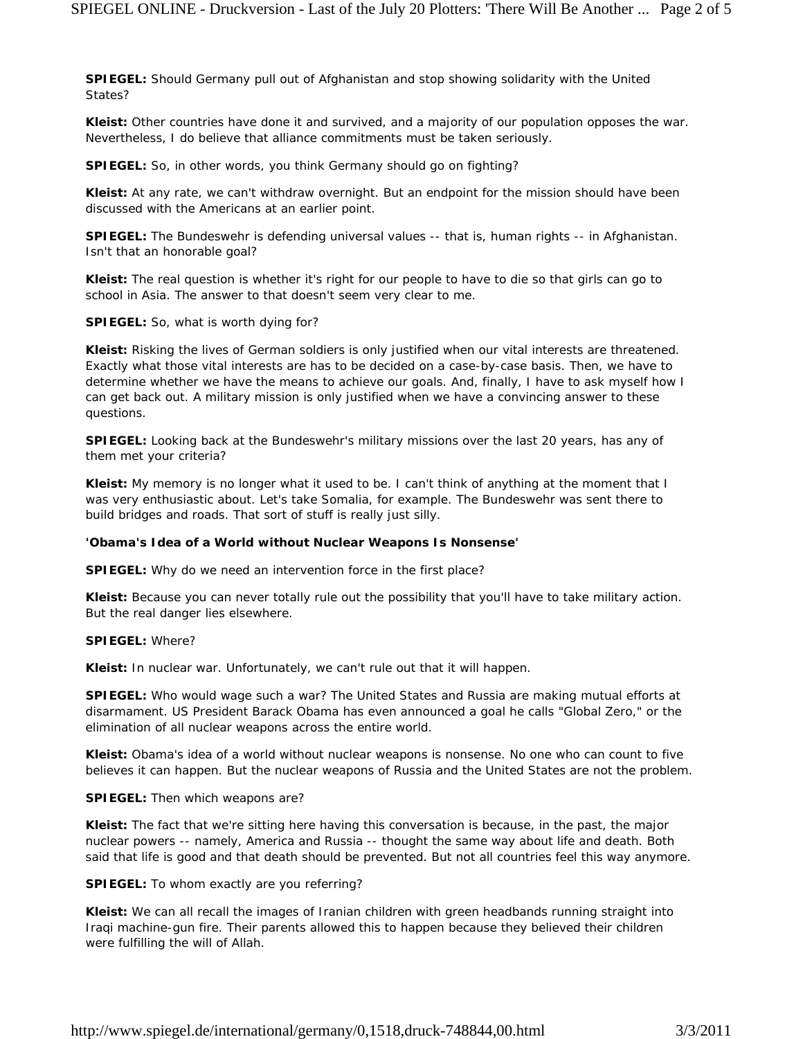**SPIEGEL:** Should Germany pull out of Afghanistan and stop showing solidarity with the United States?

**Kleist:** Other countries have done it and survived, and a majority of our population opposes the war. Nevertheless, I do believe that alliance commitments must be taken seriously.

**SPIEGEL:** So, in other words, you think Germany should go on fighting?

**Kleist:** At any rate, we can't withdraw overnight. But an endpoint for the mission should have been discussed with the Americans at an earlier point.

**SPIEGEL:** The Bundeswehr is defending universal values -- that is, human rights -- in Afghanistan. Isn't that an honorable goal?

**Kleist:** The real question is whether it's right for our people to have to die so that girls can go to school in Asia. The answer to that doesn't seem very clear to me.

**SPIEGEL:** So, what is worth dying for?

**Kleist:** Risking the lives of German soldiers is only justified when our vital interests are threatened. Exactly what those vital interests are has to be decided on a case-by-case basis. Then, we have to determine whether we have the means to achieve our goals. And, finally, I have to ask myself how I can get back out. A military mission is only justified when we have a convincing answer to these questions.

**SPIEGEL:** Looking back at the Bundeswehr's military missions over the last 20 years, has any of them met your criteria?

**Kleist:** My memory is no longer what it used to be. I can't think of anything at the moment that I was very enthusiastic about. Let's take Somalia, for example. The Bundeswehr was sent there to build bridges and roads. That sort of stuff is really just silly.

#### **'Obama's Idea of a World without Nuclear Weapons Is Nonsense'**

**SPIEGEL:** Why do we need an intervention force in the first place?

**Kleist:** Because you can never totally rule out the possibility that you'll have to take military action. But the real danger lies elsewhere.

#### **SPIEGEL:** Where?

**Kleist:** In nuclear war. Unfortunately, we can't rule out that it will happen.

**SPIEGEL:** Who would wage such a war? The United States and Russia are making mutual efforts at disarmament. US President Barack Obama has even announced a goal he calls "Global Zero," or the elimination of all nuclear weapons across the entire world.

**Kleist:** Obama's idea of a world without nuclear weapons is nonsense. No one who can count to five believes it can happen. But the nuclear weapons of Russia and the United States are not the problem.

#### **SPIEGEL:** Then which weapons are?

**Kleist:** The fact that we're sitting here having this conversation is because, in the past, the major nuclear powers -- namely, America and Russia -- thought the same way about life and death. Both said that life is good and that death should be prevented. But not all countries feel this way anymore.

#### **SPIEGEL:** To whom exactly are you referring?

**Kleist:** We can all recall the images of Iranian children with green headbands running straight into Iraqi machine-gun fire. Their parents allowed this to happen because they believed their children were fulfilling the will of Allah.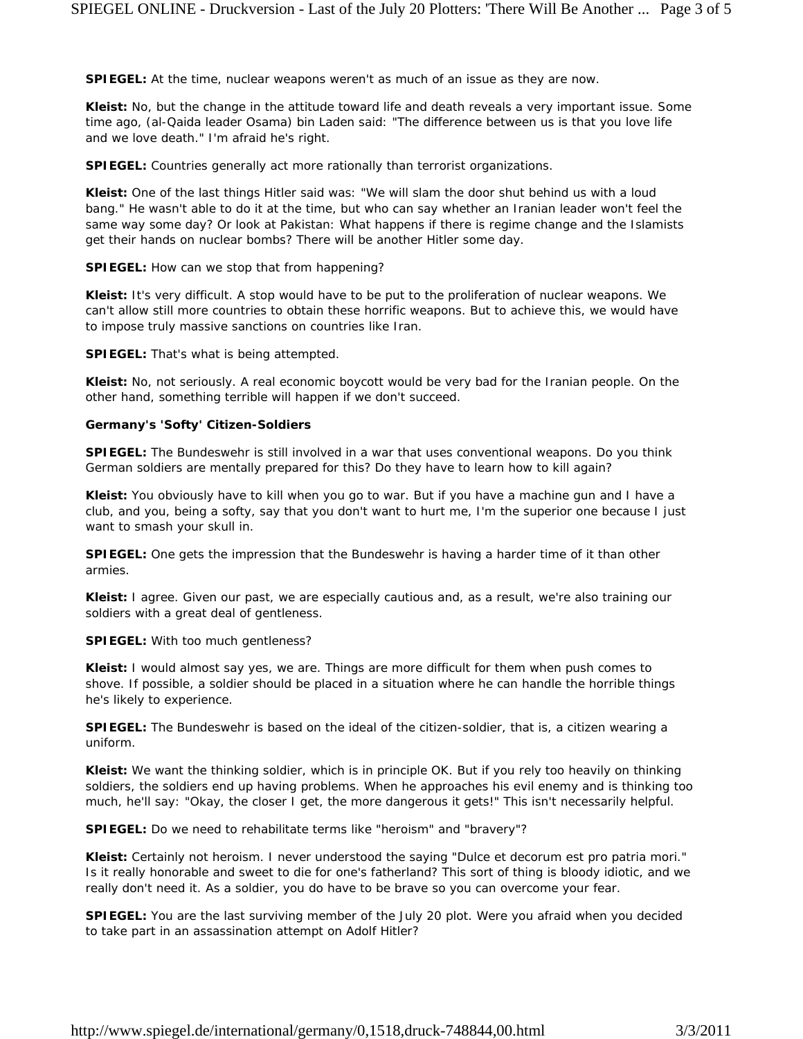**SPIEGEL:** At the time, nuclear weapons weren't as much of an issue as they are now.

**Kleist:** No, but the change in the attitude toward life and death reveals a very important issue. Some time ago, (al-Qaida leader Osama) bin Laden said: "The difference between us is that you love life and we love death." I'm afraid he's right.

**SPIEGEL:** Countries generally act more rationally than terrorist organizations.

**Kleist:** One of the last things Hitler said was: "We will slam the door shut behind us with a loud bang." He wasn't able to do it at the time, but who can say whether an Iranian leader won't feel the same way some day? Or look at Pakistan: What happens if there is regime change and the Islamists get their hands on nuclear bombs? There will be another Hitler some day.

**SPIEGEL:** How can we stop that from happening?

**Kleist:** It's very difficult. A stop would have to be put to the proliferation of nuclear weapons. We can't allow still more countries to obtain these horrific weapons. But to achieve this, we would have to impose truly massive sanctions on countries like Iran.

**SPIEGEL:** That's what is being attempted.

**Kleist:** No, not seriously. A real economic boycott would be very bad for the Iranian people. On the other hand, something terrible will happen if we don't succeed.

# **Germany's 'Softy' Citizen-Soldiers**

**SPIEGEL:** The Bundeswehr is still involved in a war that uses conventional weapons. Do you think German soldiers are mentally prepared for this? Do they have to learn how to kill again?

**Kleist:** You obviously have to kill when you go to war. But if you have a machine gun and I have a club, and you, being a softy, say that you don't want to hurt me, I'm the superior one because I just want to smash your skull in.

**SPIEGEL:** One gets the impression that the Bundeswehr is having a harder time of it than other armies.

**Kleist:** I agree. Given our past, we are especially cautious and, as a result, we're also training our soldiers with a great deal of gentleness.

**SPIEGEL:** With too much gentleness?

**Kleist:** I would almost say yes, we are. Things are more difficult for them when push comes to shove. If possible, a soldier should be placed in a situation where he can handle the horrible things he's likely to experience.

**SPIEGEL:** The Bundeswehr is based on the ideal of the citizen-soldier, that is, a citizen wearing a uniform.

**Kleist:** We want the thinking soldier, which is in principle OK. But if you rely too heavily on thinking soldiers, the soldiers end up having problems. When he approaches his evil enemy and is thinking too much, he'll say: "Okay, the closer I get, the more dangerous it gets!" This isn't necessarily helpful.

**SPIEGEL:** Do we need to rehabilitate terms like "heroism" and "bravery"?

**Kleist:** Certainly not heroism. I never understood the saying "Dulce et decorum est pro patria mori." Is it really honorable and sweet to die for one's fatherland? This sort of thing is bloody idiotic, and we really don't need it. As a soldier, you do have to be brave so you can overcome your fear.

**SPIEGEL:** You are the last surviving member of the July 20 plot. Were you afraid when you decided to take part in an assassination attempt on Adolf Hitler?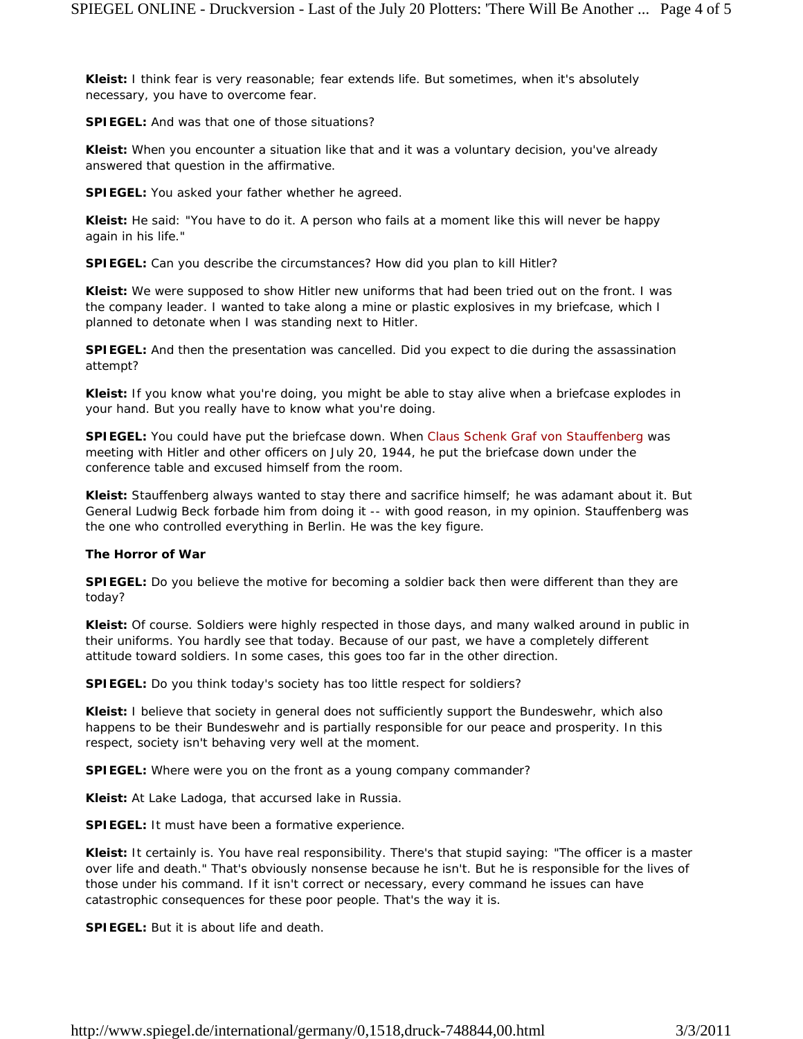**Kleist:** I think fear is very reasonable; fear extends life. But sometimes, when it's absolutely necessary, you have to overcome fear.

**SPIEGEL:** And was that one of those situations?

**Kleist:** When you encounter a situation like that and it was a voluntary decision, you've already answered that question in the affirmative.

**SPIEGEL:** You asked your father whether he agreed.

**Kleist:** He said: "You have to do it. A person who fails at a moment like this will never be happy again in his life."

**SPIEGEL:** Can you describe the circumstances? How did you plan to kill Hitler?

**Kleist:** We were supposed to show Hitler new uniforms that had been tried out on the front. I was the company leader. I wanted to take along a mine or plastic explosives in my briefcase, which I planned to detonate when I was standing next to Hitler.

**SPIEGEL:** And then the presentation was cancelled. Did you expect to die during the assassination attempt?

**Kleist:** If you know what you're doing, you might be able to stay alive when a briefcase explodes in your hand. But you really have to know what you're doing.

**SPIEGEL:** You could have put the briefcase down. When Claus Schenk Graf von Stauffenberg was meeting with Hitler and other officers on July 20, 1944, he put the briefcase down under the conference table and excused himself from the room.

**Kleist:** Stauffenberg always wanted to stay there and sacrifice himself; he was adamant about it. But General Ludwig Beck forbade him from doing it -- with good reason, in my opinion. Stauffenberg was the one who controlled everything in Berlin. He was the key figure.

# **The Horror of War**

**SPIEGEL:** Do you believe the motive for becoming a soldier back then were different than they are today?

**Kleist:** Of course. Soldiers were highly respected in those days, and many walked around in public in their uniforms. You hardly see that today. Because of our past, we have a completely different attitude toward soldiers. In some cases, this goes too far in the other direction.

**SPIEGEL:** Do you think today's society has too little respect for soldiers?

**Kleist:** I believe that society in general does not sufficiently support the Bundeswehr, which also happens to be *their* Bundeswehr and is partially responsible for our peace and prosperity. In this respect, society isn't behaving very well at the moment.

**SPIEGEL:** Where were you on the front as a young company commander?

**Kleist:** At Lake Ladoga, that accursed lake in Russia.

**SPIEGEL:** It must have been a formative experience.

**Kleist:** It certainly is. You have real responsibility. There's that stupid saying: "The officer is a master over life and death." That's obviously nonsense because he isn't. But he is responsible for the lives of those under his command. If it isn't correct or necessary, every command he issues can have catastrophic consequences for these poor people. That's the way it is.

**SPIEGEL:** But it is about life and death.